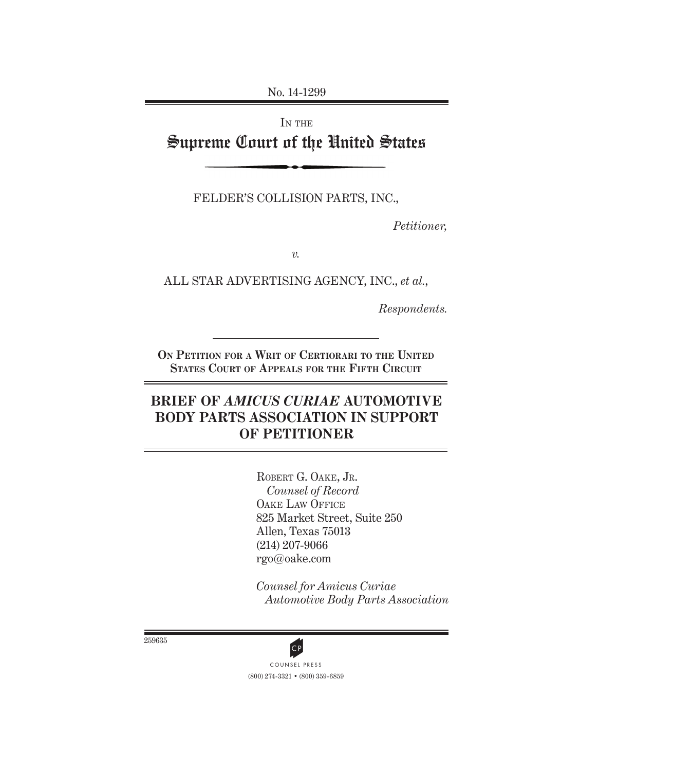No. 14-1299

# IN THE Supreme Court of the United States

FELDER'S COLLISION PARTS, INC.,

*Petitioner,*

*v.*

ALL STAR ADVERTISING AGENCY, INC., *et al.*,

*Respondents.*

**ON PETITION FOR A WRIT OF CERTIORARI TO THE UNITED STATES COURT OF APPEALS FOR THE FIFTH CIRCUIT**

# **BRIEF OF** *AMICUS CURIAE* **AUTOMOTIVE BODY PARTS ASSOCIATION IN SUPPORT OF PETITIONER**

ROBERT G. OAKE, JR. *Counsel of Record* OAKE LAW OFFICE 825 Market Street, Suite 250 Allen, Texas 75013 (214) 207-9066 rgo@oake.com

*Counsel for Amicus Curiae Automotive Body Parts Association*

259635



(800) 274-3321 • (800) 359-6859 CP<br>COUNSEL PRESS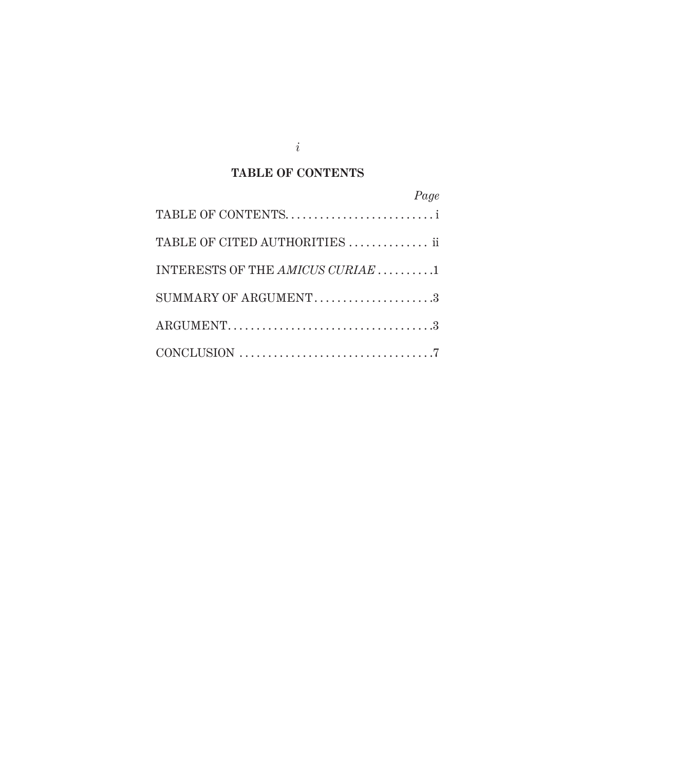## **TABLE OF CONTENTS**

| Page                                               |
|----------------------------------------------------|
|                                                    |
| TABLE OF CITED AUTHORITIES  ii                     |
| INTERESTS OF THE AMICUS CURIAE $\dots \dots \dots$ |
| SUMMARY OF ARGUMENT3                               |
|                                                    |
|                                                    |

*i*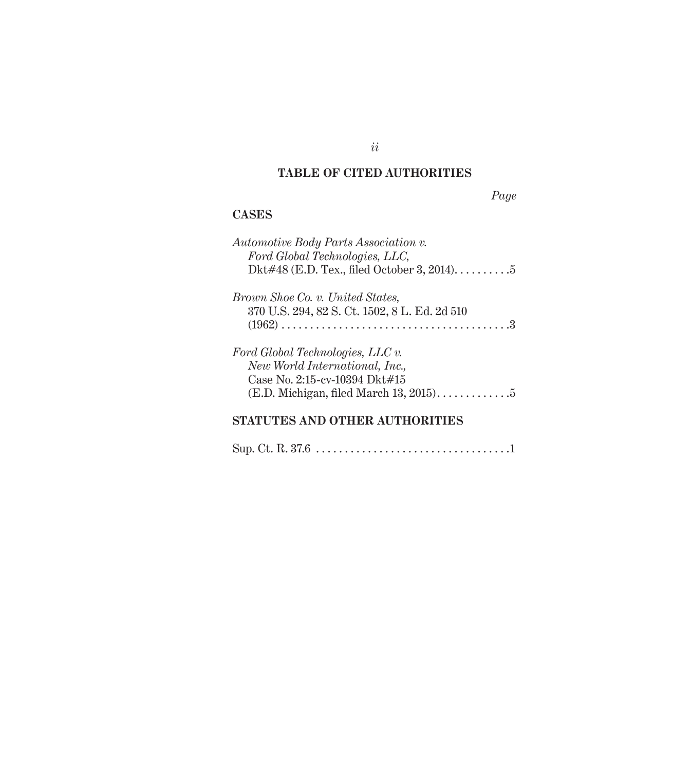### **TABLE OF CITED AUTHORITIES**

*Page*

### **CASES**

| Automotive Body Parts Association v.<br>Ford Global Technologies, LLC,<br>Dkt#48 (E.D. Tex., filed October 3, 2014)5                                 |
|------------------------------------------------------------------------------------------------------------------------------------------------------|
| <i>Brown Shoe Co. v. United States,</i><br>370 U.S. 294, 82 S. Ct. 1502, 8 L. Ed. 2d 510                                                             |
| Ford Global Technologies, LLC $v$ .<br>New World International, Inc.,<br>Case No. 2:15-cv-10394 Dkt#15<br>$(E.D.$ Michigan, filed March $13, 2015$ 5 |

## **STATUTES AND OTHER AUTHORITIES**

Sup. Ct. R. 37.6 . . . . . . . . . . . . . . . . . . . . . . . . . . . . . . . . . .1

*ii*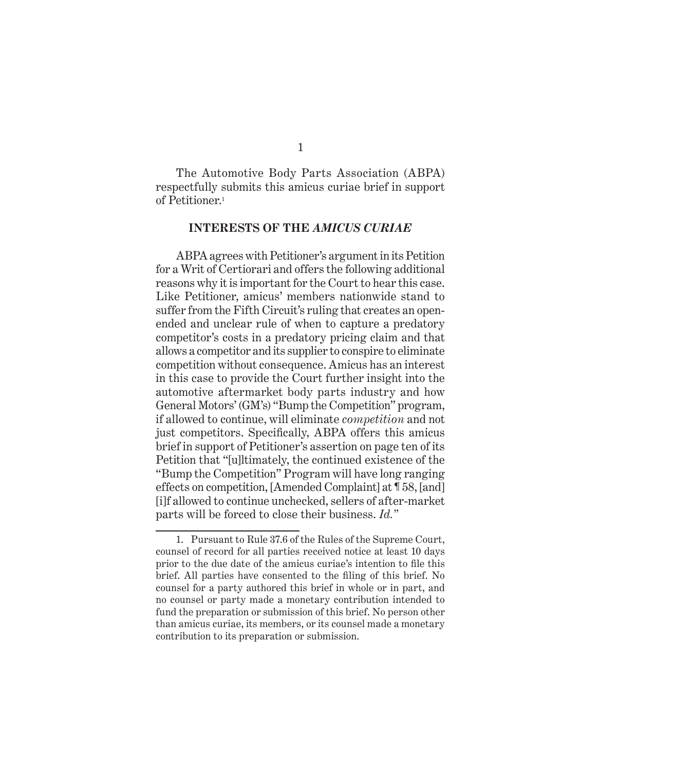The Automotive Body Parts Association (ABPA) respectfully submits this amicus curiae brief in support of Petitioner.1

#### **INTERESTS OF THE** *AMICUS CURIAE*

ABPA agrees with Petitioner's argument in its Petition for a Writ of Certiorari and offers the following additional reasons why it is important for the Court to hear this case. Like Petitioner, amicus' members nationwide stand to suffer from the Fifth Circuit's ruling that creates an openended and unclear rule of when to capture a predatory competitor's costs in a predatory pricing claim and that allows a competitor and its supplier to conspire to eliminate competition without consequence. Amicus has an interest in this case to provide the Court further insight into the automotive aftermarket body parts industry and how General Motors' (GM's) "Bump the Competition" program, if allowed to continue, will eliminate *competition* and not just competitors. Specifically, ABPA offers this amicus brief in support of Petitioner's assertion on page ten of its Petition that "[u]ltimately, the continued existence of the "Bump the Competition" Program will have long ranging effects on competition, [Amended Complaint] at ¶ 58, [and] [i]f allowed to continue unchecked, sellers of after-market parts will be forced to close their business. *Id."*

<sup>1.</sup> Pursuant to Rule 37.6 of the Rules of the Supreme Court, counsel of record for all parties received notice at least 10 days prior to the due date of the amicus curiae's intention to file this brief. All parties have consented to the filing of this brief. No counsel for a party authored this brief in whole or in part, and no counsel or party made a monetary contribution intended to fund the preparation or submission of this brief. No person other than amicus curiae, its members, or its counsel made a monetary contribution to its preparation or submission.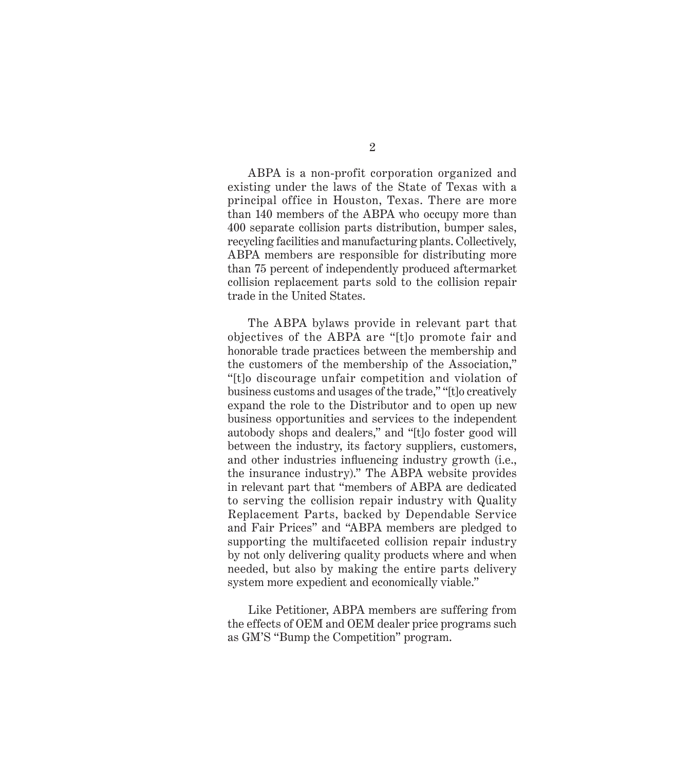ABPA is a non-profit corporation organized and existing under the laws of the State of Texas with a principal office in Houston, Texas. There are more than 140 members of the ABPA who occupy more than 400 separate collision parts distribution, bumper sales, recycling facilities and manufacturing plants. Collectively, ABPA members are responsible for distributing more than 75 percent of independently produced aftermarket collision replacement parts sold to the collision repair trade in the United States.

The ABPA bylaws provide in relevant part that objectives of the ABPA are "[t]o promote fair and honorable trade practices between the membership and the customers of the membership of the Association," "[t]o discourage unfair competition and violation of business customs and usages of the trade," "[t]o creatively expand the role to the Distributor and to open up new business opportunities and services to the independent autobody shops and dealers," and "[t]o foster good will between the industry, its factory suppliers, customers, and other industries influencing industry growth (i.e., the insurance industry)." The ABPA website provides in relevant part that "members of ABPA are dedicated to serving the collision repair industry with Quality Replacement Parts, backed by Dependable Service and Fair Prices" and "ABPA members are pledged to supporting the multifaceted collision repair industry by not only delivering quality products where and when needed, but also by making the entire parts delivery system more expedient and economically viable."

Like Petitioner, ABPA members are suffering from the effects of OEM and OEM dealer price programs such as GM'S "Bump the Competition" program.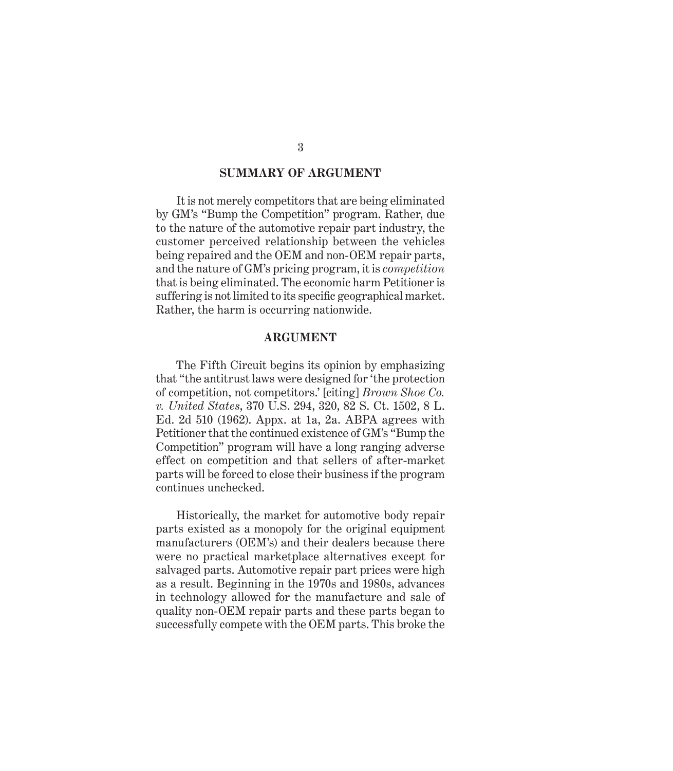#### **SUMMARY OF ARGUMENT**

It is not merely competitors that are being eliminated by GM's "Bump the Competition" program. Rather, due to the nature of the automotive repair part industry, the customer perceived relationship between the vehicles being repaired and the OEM and non-OEM repair parts, and the nature of GM's pricing program, it is *competition* that is being eliminated. The economic harm Petitioner is suffering is not limited to its specific geographical market. Rather, the harm is occurring nationwide.

#### **ARGUMENT**

The Fifth Circuit begins its opinion by emphasizing that "the antitrust laws were designed for 'the protection of competition, not competitors.' [citing] *Brown Shoe Co. v. United States*, 370 U.S. 294, 320, 82 S. Ct. 1502, 8 L. Ed. 2d 510 (1962). Appx. at 1a, 2a. ABPA agrees with Petitioner that the continued existence of GM's "Bump the Competition" program will have a long ranging adverse effect on competition and that sellers of after-market parts will be forced to close their business if the program continues unchecked.

Historically, the market for automotive body repair parts existed as a monopoly for the original equipment manufacturers (OEM's) and their dealers because there were no practical marketplace alternatives except for salvaged parts. Automotive repair part prices were high as a result. Beginning in the 1970s and 1980s, advances in technology allowed for the manufacture and sale of quality non-OEM repair parts and these parts began to successfully compete with the OEM parts. This broke the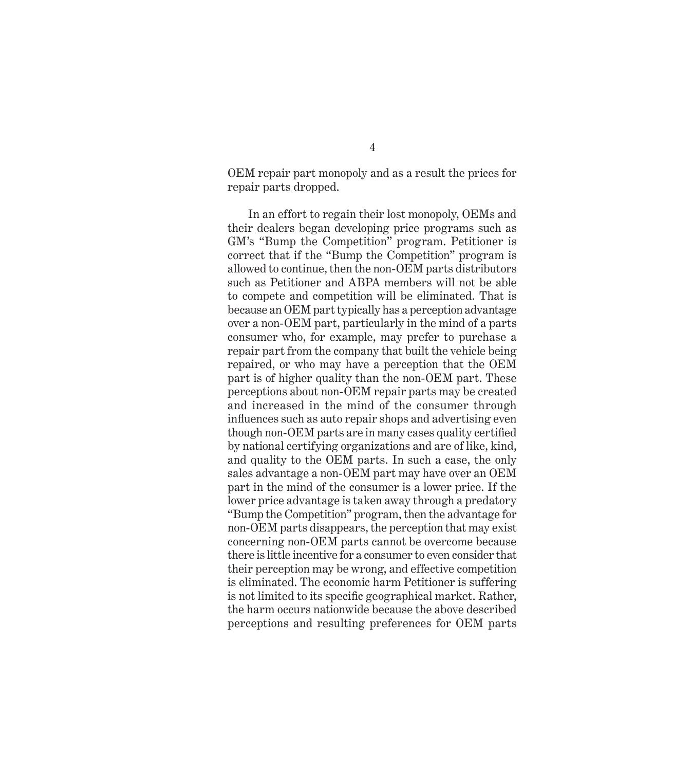OEM repair part monopoly and as a result the prices for repair parts dropped.

In an effort to regain their lost monopoly, OEMs and their dealers began developing price programs such as GM's "Bump the Competition" program. Petitioner is correct that if the "Bump the Competition" program is allowed to continue, then the non-OEM parts distributors such as Petitioner and ABPA members will not be able to compete and competition will be eliminated. That is because an OEM part typically has a perception advantage over a non-OEM part, particularly in the mind of a parts consumer who, for example, may prefer to purchase a repair part from the company that built the vehicle being repaired, or who may have a perception that the OEM part is of higher quality than the non-OEM part. These perceptions about non-OEM repair parts may be created and increased in the mind of the consumer through influences such as auto repair shops and advertising even though non-OEM parts are in many cases quality certified by national certifying organizations and are of like, kind, and quality to the OEM parts. In such a case, the only sales advantage a non-OEM part may have over an OEM part in the mind of the consumer is a lower price. If the lower price advantage is taken away through a predatory "Bump the Competition" program, then the advantage for non-OEM parts disappears, the perception that may exist concerning non-OEM parts cannot be overcome because there is little incentive for a consumer to even consider that their perception may be wrong, and effective competition is eliminated. The economic harm Petitioner is suffering is not limited to its specific geographical market. Rather, the harm occurs nationwide because the above described perceptions and resulting preferences for OEM parts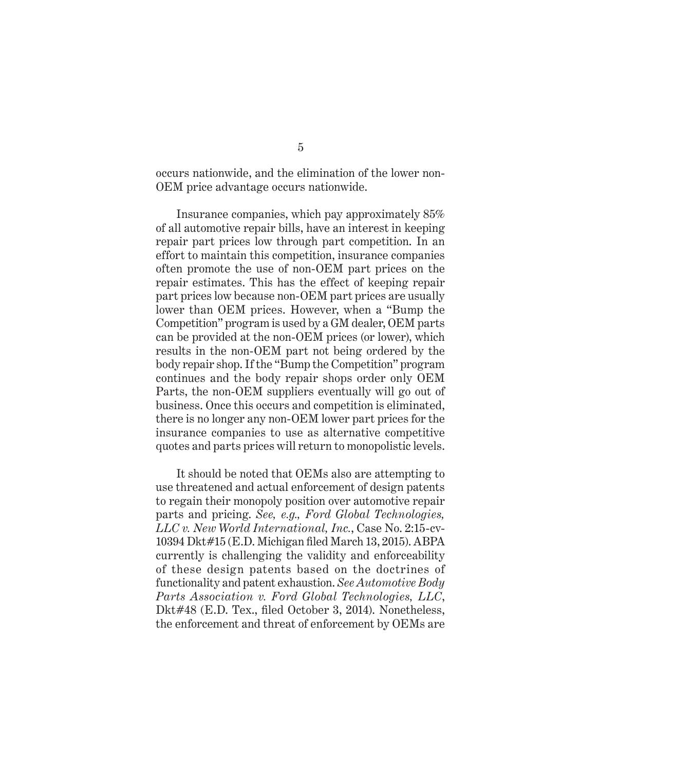occurs nationwide, and the elimination of the lower non-OEM price advantage occurs nationwide.

Insurance companies, which pay approximately 85% of all automotive repair bills, have an interest in keeping repair part prices low through part competition. In an effort to maintain this competition, insurance companies often promote the use of non-OEM part prices on the repair estimates. This has the effect of keeping repair part prices low because non-OEM part prices are usually lower than OEM prices. However, when a "Bump the Competition" program is used by a GM dealer, OEM parts can be provided at the non-OEM prices (or lower), which results in the non-OEM part not being ordered by the body repair shop. If the "Bump the Competition" program continues and the body repair shops order only OEM Parts, the non-OEM suppliers eventually will go out of business. Once this occurs and competition is eliminated, there is no longer any non-OEM lower part prices for the insurance companies to use as alternative competitive quotes and parts prices will return to monopolistic levels.

It should be noted that OEMs also are attempting to use threatened and actual enforcement of design patents to regain their monopoly position over automotive repair parts and pricing. *See, e.g., Ford Global Technologies, LLC v. New World International, Inc.*, Case No. 2:15-cv-10394 Dkt#15 (E.D. Michigan fi led March 13, 2015). ABPA currently is challenging the validity and enforceability of these design patents based on the doctrines of functionality and patent exhaustion. *See Automotive Body Parts Association v. Ford Global Technologies, LLC*, Dkt#48 (E.D. Tex., filed October 3, 2014). Nonetheless, the enforcement and threat of enforcement by OEMs are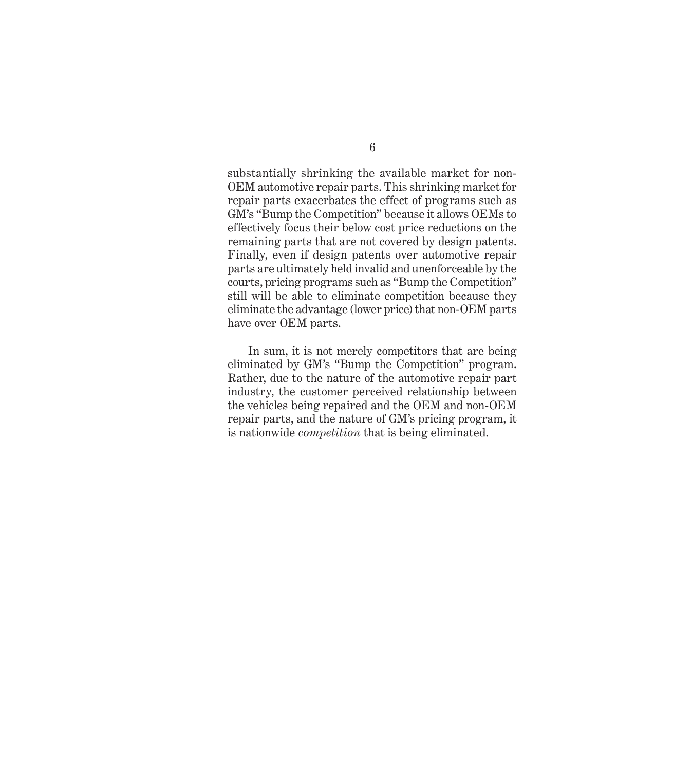substantially shrinking the available market for non-OEM automotive repair parts. This shrinking market for repair parts exacerbates the effect of programs such as GM's "Bump the Competition" because it allows OEMs to effectively focus their below cost price reductions on the remaining parts that are not covered by design patents. Finally, even if design patents over automotive repair parts are ultimately held invalid and unenforceable by the courts, pricing programs such as "Bump the Competition" still will be able to eliminate competition because they eliminate the advantage (lower price) that non-OEM parts have over OEM parts.

In sum, it is not merely competitors that are being eliminated by GM's "Bump the Competition" program. Rather, due to the nature of the automotive repair part industry, the customer perceived relationship between the vehicles being repaired and the OEM and non-OEM repair parts, and the nature of GM's pricing program, it is nationwide *competition* that is being eliminated.